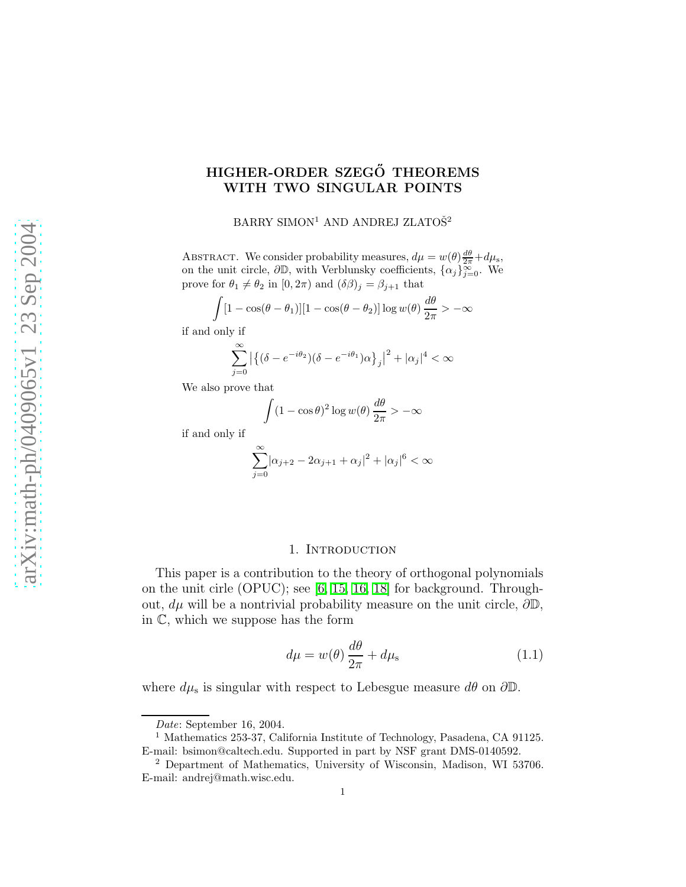# HIGHER-ORDER SZEGŐ THEOREMS WITH TWO SINGULAR POINTS

 $\rm BARRY$   $\rm SIMON^{1}$   $\rm AND$   $\rm ANDREJ$   $\rm ZLATO\check{S}^{2}$ 

ABSTRACT. We consider probability measures,  $d\mu = w(\theta) \frac{d\theta}{2\pi} + d\mu_s$ , on the unit circle,  $\partial \mathbb{D}$ , with Verblunsky coefficients,  $\{\alpha_j\}_{j=0}^{\infty}$ . We prove for  $\theta_1 \neq \theta_2$  in  $[0, 2\pi)$  and  $(\delta \beta)_j = \beta_{j+1}$  that

$$
\int [1 - \cos(\theta - \theta_1)][1 - \cos(\theta - \theta_2)] \log w(\theta) \frac{d\theta}{2\pi} > -\infty
$$

if and only if

$$
\sum_{j=0}^{\infty} \left| \left\{ (\delta - e^{-i\theta_2}) (\delta - e^{-i\theta_1}) \alpha \right\}_j \right|^2 + |\alpha_j|^4 < \infty
$$

We also prove that

$$
\int (1 - \cos \theta)^2 \log w(\theta) \frac{d\theta}{2\pi} > -\infty
$$

if and only if

$$
\sum_{j=0}^{\infty} |\alpha_{j+2}-2\alpha_{j+1}+\alpha_j|^2+|\alpha_j|^6<\infty
$$

#### 1. Introduction

This paper is a contribution to the theory of orthogonal polynomials on the unit cirle (OPUC); see [\[6,](#page-14-0) [15,](#page-15-0) [16,](#page-15-1) [18\]](#page-15-2) for background. Throughout,  $d\mu$  will be a nontrivial probability measure on the unit circle,  $\partial \mathbb{D}$ , in C, which we suppose has the form

<span id="page-0-0"></span>
$$
d\mu = w(\theta) \frac{d\theta}{2\pi} + d\mu_{\rm s} \tag{1.1}
$$

where  $d\mu_s$  is singular with respect to Lebesgue measure  $d\theta$  on  $\partial\mathbb{D}$ .

Date: September 16, 2004.

<sup>1</sup> Mathematics 253-37, California Institute of Technology, Pasadena, CA 91125. E-mail: bsimon@caltech.edu. Supported in part by NSF grant DMS-0140592.

<sup>2</sup> Department of Mathematics, University of Wisconsin, Madison, WI 53706. E-mail: andrej@math.wisc.edu.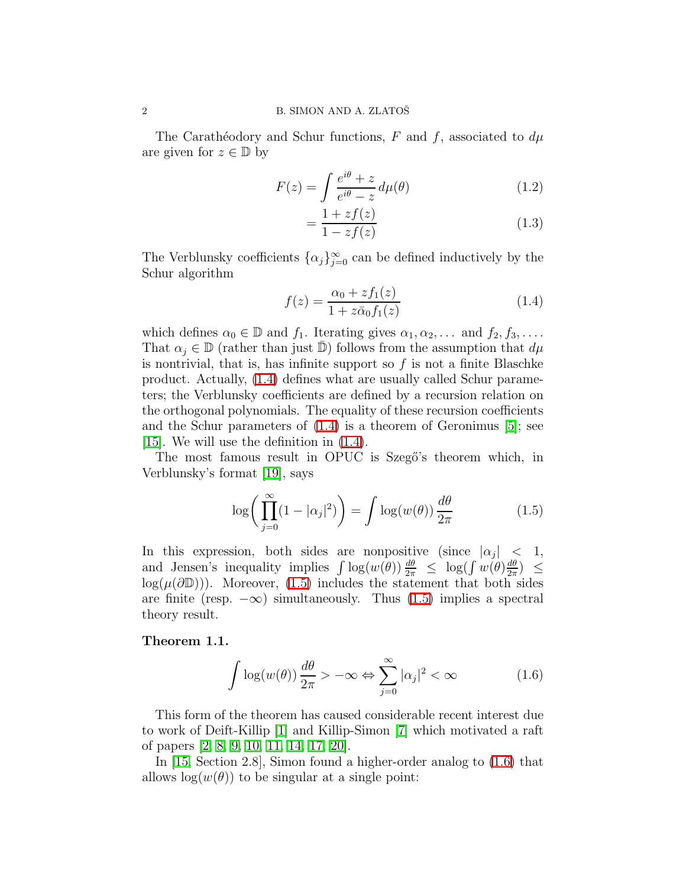The Carathéodory and Schur functions, F and f, associated to  $d\mu$ are given for  $z \in \mathbb{D}$  by

$$
F(z) = \int \frac{e^{i\theta} + z}{e^{i\theta} - z} d\mu(\theta)
$$
 (1.2)

<span id="page-1-3"></span>
$$
=\frac{1+zf(z)}{1-zf(z)}\tag{1.3}
$$

<span id="page-1-0"></span>The Verblunsky coefficients  $\{\alpha_j\}_{j=0}^{\infty}$  can be defined inductively by the Schur algorithm

$$
f(z) = \frac{\alpha_0 + z f_1(z)}{1 + z \bar{\alpha}_0 f_1(z)}
$$
(1.4)

which defines  $\alpha_0 \in \mathbb{D}$  and  $f_1$ . Iterating gives  $\alpha_1, \alpha_2, \ldots$  and  $f_2, f_3, \ldots$ . That  $\alpha_j \in \mathbb{D}$  (rather than just  $\mathbb{D}$ ) follows from the assumption that  $d\mu$ is nontrivial, that is, has infinite support so  $f$  is not a finite Blaschke product. Actually, [\(1.4\)](#page-1-0) defines what are usually called Schur parameters; the Verblunsky coefficients are defined by a recursion relation on the orthogonal polynomials. The equality of these recursion coefficients and the Schur parameters of [\(1.4\)](#page-1-0) is a theorem of Geronimus [\[5\]](#page-14-1); see [\[15\]](#page-15-0). We will use the definition in [\(1.4\)](#page-1-0).

The most famous result in OPUC is Szegő's theorem which, in Verblunsky's format [\[19\]](#page-15-3), says

<span id="page-1-1"></span>
$$
\log\bigg(\prod_{j=0}^{\infty} (1 - |\alpha_j|^2)\bigg) = \int \log(w(\theta)) \frac{d\theta}{2\pi}
$$
 (1.5)

In this expression, both sides are nonpositive (since  $|\alpha_j|$  < 1, and Jensen's inequality implies  $\int \log(w(\theta)) \frac{d\theta}{2\pi} \leq \log(\int w(\theta) \frac{d\theta}{2\pi})$  $\frac{d\theta}{2\pi}$ )  $\leq$  $log(\mu(\partial \mathbb{D}))$ . Moreover, [\(1.5\)](#page-1-1) includes the statement that both sides are finite (resp.  $-\infty$ ) simultaneously. Thus [\(1.5\)](#page-1-1) implies a spectral theory result.

#### <span id="page-1-2"></span>Theorem 1.1.

$$
\int \log(w(\theta)) \frac{d\theta}{2\pi} > -\infty \Leftrightarrow \sum_{j=0}^{\infty} |\alpha_j|^2 < \infty \tag{1.6}
$$

This form of the theorem has caused considerable recent interest due to work of Deift-Killip [\[1\]](#page-14-2) and Killip-Simon [\[7\]](#page-14-3) which motivated a raft of papers [\[2,](#page-14-4) [8,](#page-14-5) [9,](#page-14-6) [10,](#page-14-7) [11,](#page-14-8) [14,](#page-14-9) [17,](#page-15-4) [20\]](#page-15-5).

<span id="page-1-4"></span>In [\[15,](#page-15-0) Section 2.8], Simon found a higher-order analog to [\(1.6\)](#page-1-2) that allows  $log(w(\theta))$  to be singular at a single point: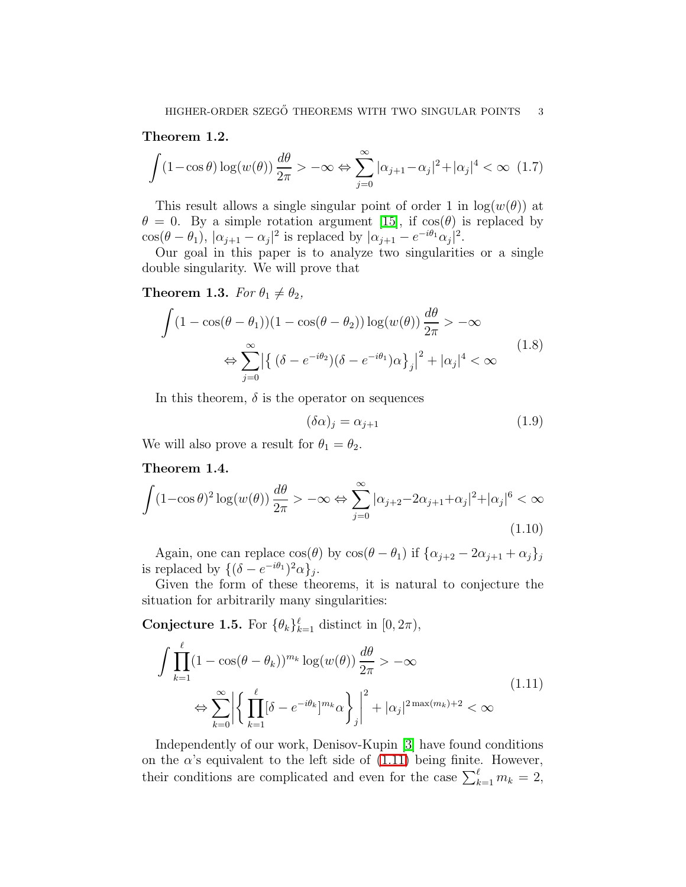# <span id="page-2-3"></span>Theorem 1.2.

$$
\int (1 - \cos \theta) \log(w(\theta)) \frac{d\theta}{2\pi} > -\infty \Leftrightarrow \sum_{j=0}^{\infty} |\alpha_{j+1} - \alpha_j|^2 + |\alpha_j|^4 < \infty \quad (1.7)
$$

This result allows a single singular point of order 1 in  $log(w(\theta))$  at  $\theta = 0$ . By a simple rotation argument [\[15\]](#page-15-0), if  $cos(\theta)$  is replaced by  $\cos(\theta - \theta_1), |\alpha_{j+1} - \alpha_j|^2$  is replaced by  $|\alpha_{j+1} - e^{-i\theta_1}\alpha_j|^2$ .

<span id="page-2-1"></span>Our goal in this paper is to analyze two singularities or a single double singularity. We will prove that

# **Theorem 1.3.** For  $\theta_1 \neq \theta_2$ ,

<span id="page-2-6"></span>
$$
\int (1 - \cos(\theta - \theta_1))(1 - \cos(\theta - \theta_2)) \log(w(\theta)) \frac{d\theta}{2\pi} > -\infty
$$
  

$$
\Leftrightarrow \sum_{j=0}^{\infty} \left| \left\{ (\delta - e^{-i\theta_2}) (\delta - e^{-i\theta_1}) \alpha \right\}_j \right|^2 + |\alpha_j|^4 < \infty
$$
\n(1.8)

In this theorem,  $\delta$  is the operator on sequences

<span id="page-2-4"></span><span id="page-2-0"></span>
$$
(\delta \alpha)_j = \alpha_{j+1} \tag{1.9}
$$

<span id="page-2-5"></span><span id="page-2-2"></span>We will also prove a result for  $\theta_1 = \theta_2$ .

### Theorem 1.4.

$$
\int (1 - \cos \theta)^2 \log(w(\theta)) \frac{d\theta}{2\pi} > -\infty \Leftrightarrow \sum_{j=0}^{\infty} |\alpha_{j+2} - 2\alpha_{j+1} + \alpha_j|^2 + |\alpha_j|^6 < \infty
$$
\n(1.10)

Again, one can replace  $\cos(\theta)$  by  $\cos(\theta - \theta_1)$  if  $\{\alpha_{i+2} - 2\alpha_{i+1} + \alpha_i\}_i$ is replaced by  $\{(\delta - e^{-i\theta_1})^2 \alpha\}_j$ .

Given the form of these theorems, it is natural to conjecture the situation for arbitrarily many singularities:

**Conjecture 1.5.** For  $\{\theta_k\}_{k=1}^{\ell}$  distinct in  $[0, 2\pi)$ ,

$$
\int \prod_{k=1}^{\ell} (1 - \cos(\theta - \theta_k))^{m_k} \log(w(\theta)) \frac{d\theta}{2\pi} > -\infty
$$
\n
$$
\Leftrightarrow \sum_{k=0}^{\infty} \left| \left\{ \prod_{k=1}^{\ell} [\delta - e^{-i\theta_k}]^{m_k} \alpha \right\}_j \right|^2 + |\alpha_j|^{2 \max(m_k) + 2} < \infty
$$
\n(1.11)

Independently of our work, Denisov-Kupin [\[3\]](#page-14-10) have found conditions on the  $\alpha$ 's equivalent to the left side of [\(1.11\)](#page-2-0) being finite. However, their conditions are complicated and even for the case  $\sum_{k=1}^{\ell} m_k = 2$ ,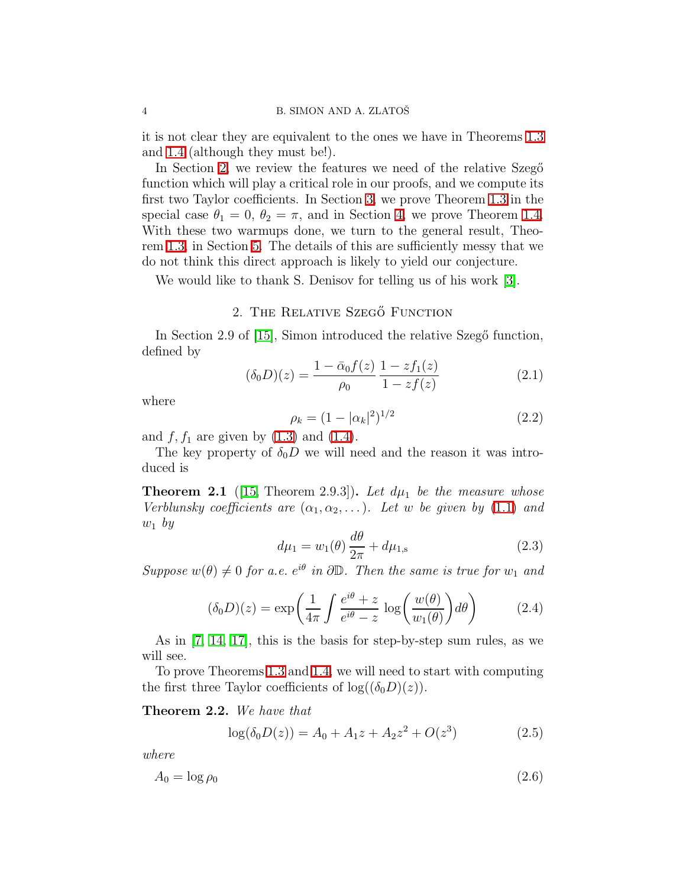it is not clear they are equivalent to the ones we have in Theorems [1.3](#page-2-1) and [1.4](#page-2-2) (although they must be!).

In Section [2,](#page-3-0) we review the features we need of the relative Szego function which will play a critical role in our proofs, and we compute its first two Taylor coefficients. In Section [3,](#page-4-0) we prove Theorem [1.3](#page-2-1) in the special case  $\theta_1 = 0$ ,  $\theta_2 = \pi$ , and in Section [4,](#page-7-0) we prove Theorem [1.4.](#page-2-2) With these two warmups done, we turn to the general result, Theorem [1.3,](#page-2-1) in Section [5.](#page-10-0) The details of this are sufficiently messy that we do not think this direct approach is likely to yield our conjecture.

We would like to thank S. Denisov for telling us of his work [\[3\]](#page-14-10).

## 2. THE RELATIVE SZEGŐ FUNCTION

<span id="page-3-1"></span><span id="page-3-0"></span>In Section 2.9 of [\[15\]](#page-15-0), Simon introduced the relative Szegő function, defined by

$$
(\delta_0 D)(z) = \frac{1 - \bar{\alpha}_0 f(z)}{\rho_0} \frac{1 - z f_1(z)}{1 - z f(z)}
$$
(2.1)

where

$$
\rho_k = (1 - |\alpha_k|^2)^{1/2} \tag{2.2}
$$

and  $f, f_1$  are given by  $(1.3)$  and  $(1.4)$ .

The key property of  $\delta_0 D$  we will need and the reason it was introduced is

**Theorem 2.1** ([\[15,](#page-15-0) Theorem 2.9.3]). Let  $d\mu_1$  be the measure whose Verblunsky coefficients are  $(\alpha_1, \alpha_2, \ldots)$ . Let w be given by [\(1.1\)](#page-0-0) and  $w_1$  by

$$
d\mu_1 = w_1(\theta) \frac{d\theta}{2\pi} + d\mu_{1,s}
$$
 (2.3)

<span id="page-3-2"></span>Suppose  $w(\theta) \neq 0$  for a.e.  $e^{i\theta}$  in  $\partial \mathbb{D}$ . Then the same is true for  $w_1$  and

$$
(\delta_0 D)(z) = \exp\left(\frac{1}{4\pi} \int \frac{e^{i\theta} + z}{e^{i\theta} - z} \log\left(\frac{w(\theta)}{w_1(\theta)}\right) d\theta\right) \tag{2.4}
$$

As in [\[7,](#page-14-3) [14,](#page-14-9) [17\]](#page-15-4), this is the basis for step-by-step sum rules, as we will see.

To prove Theorems [1.3](#page-2-1) and [1.4,](#page-2-2) we will need to start with computing the first three Taylor coefficients of  $log((\delta_0 D)(z))$ .

Theorem 2.2. We have that

<span id="page-3-3"></span>
$$
log(\delta_0 D(z)) = A_0 + A_1 z + A_2 z^2 + O(z^3)
$$
 (2.5)

where

$$
A_0 = \log \rho_0 \tag{2.6}
$$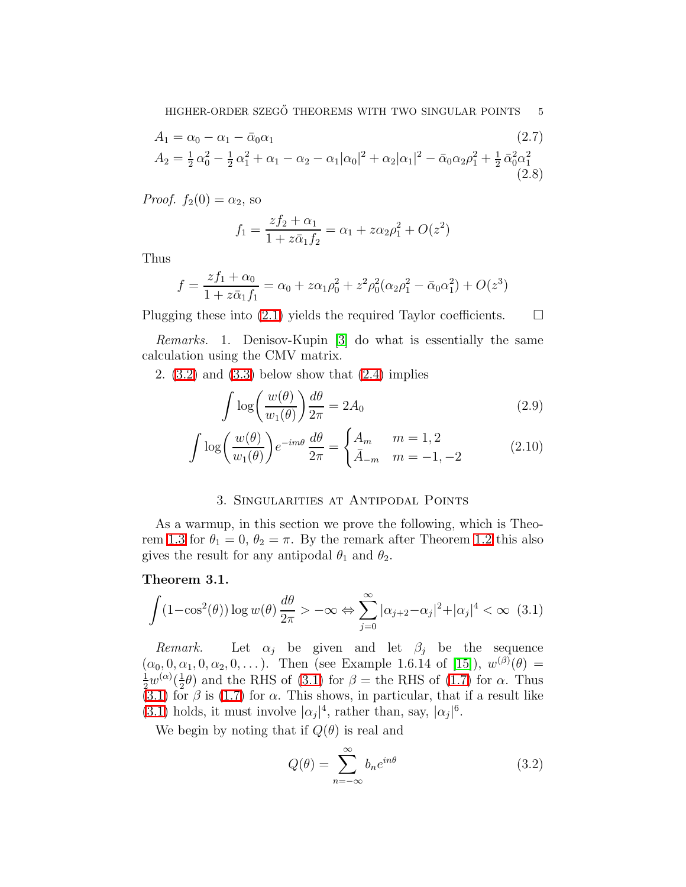HIGHER-ORDER SZEGŐ THEOREMS WITH TWO SINGULAR POINTS 5

$$
A_1 = \alpha_0 - \alpha_1 - \bar{\alpha}_0 \alpha_1
$$
\n
$$
A_2 = \frac{1}{2} \alpha_0^2 - \frac{1}{2} \alpha_1^2 + \alpha_1 - \alpha_2 - \alpha_1 |\alpha_0|^2 + \alpha_2 |\alpha_1|^2 - \bar{\alpha}_0 \alpha_2 \rho_1^2 + \frac{1}{2} \bar{\alpha}_0^2 \alpha_1^2
$$
\n(2.8)

*Proof.*  $f_2(0) = \alpha_2$ , so

<span id="page-4-5"></span>
$$
f_1 = \frac{zf_2 + \alpha_1}{1 + z\bar{\alpha}_1 f_2} = \alpha_1 + z\alpha_2 \rho_1^2 + O(z^2)
$$

Thus

$$
f = \frac{zf_1 + \alpha_0}{1 + z\bar{\alpha}_1 f_1} = \alpha_0 + z\alpha_1 \rho_0^2 + z^2 \rho_0^2 (\alpha_2 \rho_1^2 - \bar{\alpha}_0 \alpha_1^2) + O(z^3)
$$

Plugging these into  $(2.1)$  yields the required Taylor coefficients.  $\Box$ 

Remarks. 1. Denisov-Kupin [\[3\]](#page-14-10) do what is essentially the same calculation using the CMV matrix.

2.  $(3.2)$  and  $(3.3)$  below show that  $(2.4)$  implies

<span id="page-4-4"></span><span id="page-4-3"></span>
$$
\int \log \left( \frac{w(\theta)}{w_1(\theta)} \right) \frac{d\theta}{2\pi} = 2A_0 \tag{2.9}
$$

$$
\int \log \left( \frac{w(\theta)}{w_1(\theta)} \right) e^{-im\theta} \frac{d\theta}{2\pi} = \begin{cases} A_m & m = 1, 2 \\ \bar{A}_{-m} & m = -1, -2 \end{cases}
$$
 (2.10)

# 3. Singularities at Antipodal Points

<span id="page-4-0"></span>As a warmup, in this section we prove the following, which is Theo-rem [1.3](#page-2-1) for  $\theta_1 = 0$ ,  $\theta_2 = \pi$ . By the remark after Theorem [1.2](#page-1-4) this also gives the result for any antipodal  $\theta_1$  and  $\theta_2$ .

## <span id="page-4-6"></span><span id="page-4-2"></span>Theorem 3.1.

$$
\int (1 - \cos^2(\theta)) \log w(\theta) \frac{d\theta}{2\pi} > -\infty \Leftrightarrow \sum_{j=0}^{\infty} |\alpha_{j+2} - \alpha_j|^2 + |\alpha_j|^4 < \infty \quad (3.1)
$$

Remark. Let  $\alpha_j$  be given and let  $\beta_j$  be the sequence  $(\alpha_0, 0, \alpha_1, 0, \alpha_2, 0, \dots)$ . Then (see Example 1.6.14 of [\[15\]](#page-15-0)),  $w^{(\beta)}(\theta) =$ 1  $rac{1}{2}w^{(\alpha)}(\frac{1}{2})$  $\frac{1}{2}\theta$  and the RHS of [\(3.1\)](#page-4-2) for  $\beta$  = the RHS of [\(1.7\)](#page-2-3) for  $\alpha$ . Thus  $(3.1)$  for  $\beta$  is [\(1.7\)](#page-2-3) for  $\alpha$ . This shows, in particular, that if a result like [\(3.1\)](#page-4-2) holds, it must involve  $|\alpha_j|^4$ , rather than, say,  $|\alpha_j|^6$ .

We begin by noting that if  $Q(\theta)$  is real and

<span id="page-4-1"></span>
$$
Q(\theta) = \sum_{n = -\infty}^{\infty} b_n e^{in\theta}
$$
 (3.2)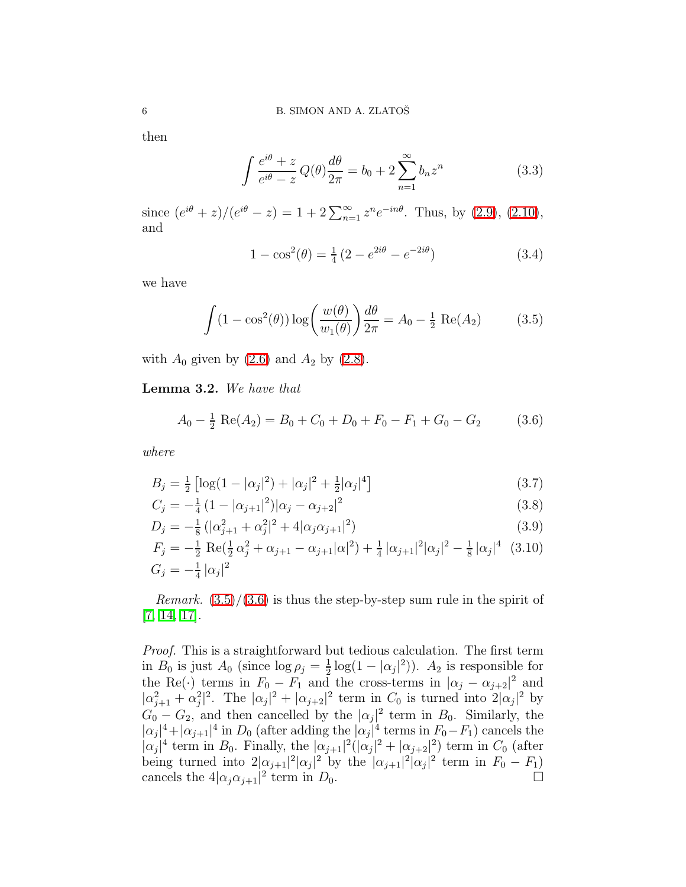then

$$
\int \frac{e^{i\theta} + z}{e^{i\theta} - z} Q(\theta) \frac{d\theta}{2\pi} = b_0 + 2 \sum_{n=1}^{\infty} b_n z^n
$$
\n(3.3)

since  $(e^{i\theta} + z)/(e^{i\theta} - z) = 1 + 2\sum_{n=1}^{\infty} z^n e^{-in\theta}$ . Thus, by [\(2.9\)](#page-4-3), [\(2.10\)](#page-4-4), and

$$
1 - \cos^{2}(\theta) = \frac{1}{4} \left( 2 - e^{2i\theta} - e^{-2i\theta} \right)
$$
 (3.4)

<span id="page-5-1"></span>we have

<span id="page-5-2"></span>
$$
\int (1 - \cos^2(\theta)) \log \left( \frac{w(\theta)}{w_1(\theta)} \right) \frac{d\theta}{2\pi} = A_0 - \frac{1}{2} \operatorname{Re}(A_2) \tag{3.5}
$$

with  $A_0$  given by  $(2.6)$  and  $A_2$  by  $(2.8)$ .

Lemma 3.2. We have that

$$
A_0 - \frac{1}{2} \operatorname{Re}(A_2) = B_0 + C_0 + D_0 + F_0 - F_1 + G_0 - G_2 \tag{3.6}
$$

where

$$
B_j = \frac{1}{2} \left[ \log(1 - |\alpha_j|^2) + |\alpha_j|^2 + \frac{1}{2} |\alpha_j|^4 \right]
$$
\n(3.7)

$$
C_j = -\frac{1}{4} \left( 1 - |\alpha_{j+1}|^2 \right) |\alpha_j - \alpha_{j+2}|^2 \tag{3.8}
$$

$$
D_j = -\frac{1}{8} \left( |\alpha_{j+1}^2 + \alpha_j^2|^2 + 4|\alpha_j \alpha_{j+1}|^2 \right) \tag{3.9}
$$

$$
F_j = -\frac{1}{2} \text{ Re}(\frac{1}{2}\alpha_j^2 + \alpha_{j+1} - \alpha_{j+1}|\alpha|^2) + \frac{1}{4} |\alpha_{j+1}|^2 |\alpha_j|^2 - \frac{1}{8} |\alpha_j|^4 \quad (3.10)
$$
  

$$
G_j = -\frac{1}{4} |\alpha_j|^2
$$

*Remark.*  $(3.5)/(3.6)$  $(3.5)/(3.6)$  $(3.5)/(3.6)$  is thus the step-by-step sum rule in the spirit of [\[7,](#page-14-3) [14,](#page-14-9) [17\]](#page-15-4).

Proof. This is a straightforward but tedious calculation. The first term in  $B_0$  is just  $A_0$  (since  $\log \rho_j = \frac{1}{2}$ )  $\frac{1}{2}$ log(1 –  $|\alpha_j|^2$ )).  $A_2$  is responsible for the Re(·) terms in  $F_0 - F_1$  and the cross-terms in  $|\alpha_j - \alpha_{j+2}|^2$  and  $|\alpha_{j+1}^2 + \alpha_j^2|^2$ . The  $|\alpha_j|^2 + |\alpha_{j+2}|^2$  term in  $C_0$  is turned into  $2|\alpha_j|^2$  by  $G_0 - G_2$ , and then cancelled by the  $|\alpha_j|^2$  term in  $B_0$ . Similarly, the  $|\alpha_j|^4 + |\alpha_{j+1}|^4$  in  $D_0$  (after adding the  $|\alpha_j|^4$  terms in  $F_0 - F_1$ ) cancels the  $|\alpha_j|^4$  term in  $B_0$ . Finally, the  $|\alpha_{j+1}|^2(|\alpha_j|^2 + |\alpha_{j+2}|^2)$  term in  $C_0$  (after being turned into  $2|\alpha_{j+1}|^2 |\alpha_j|^2$  by the  $|\alpha_{j+1}|^2 |\alpha_j|^2$  term in  $F_0 - F_1$ ) cancels the  $4|\alpha_j\alpha_{j+1}|^2$  term in  $D_0$ .

<span id="page-5-0"></span>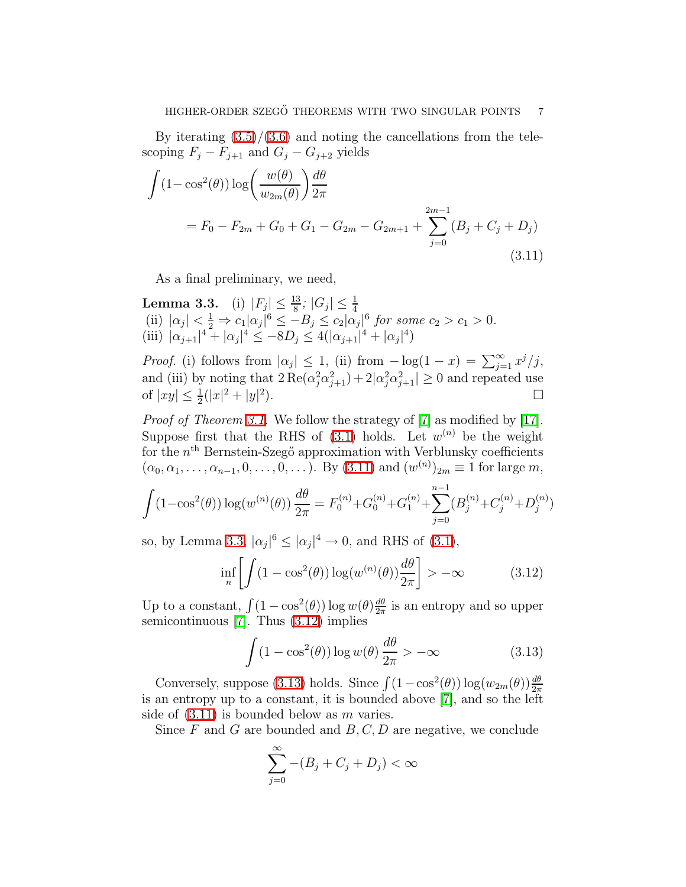<span id="page-6-0"></span>By iterating  $(3.5)/(3.6)$  $(3.5)/(3.6)$  and noting the cancellations from the telescoping  $F_j - F_{j+1}$  and  $G_j - G_{j+2}$  yields

$$
\int (1 - \cos^{2}(\theta)) \log \left( \frac{w(\theta)}{w_{2m}(\theta)} \right) \frac{d\theta}{2\pi}
$$
  
=  $F_{0} - F_{2m} + G_{0} + G_{1} - G_{2m} - G_{2m+1} + \sum_{j=0}^{2m-1} (B_{j} + C_{j} + D_{j})$  (3.11)

As a final preliminary, we need,

<span id="page-6-1"></span>Lemma 3.3. (i)  $|F_j| \le \frac{13}{8}$ ;  $|G_j| \le \frac{1}{4}$ <br>(ii)  $|\alpha_j| < \frac{1}{2} \Rightarrow c_1 |\alpha_j|^6 \le -B_j \le c_2 |\alpha_j|^6$  for some  $c_2 > c_1 > 0$ . (iii)  $|\alpha_{j+1}|^4 + |\alpha_j|^4 \leq -8D_j \leq 4(|\alpha_{j+1}|^4 + |\alpha_j|^4)$ 

*Proof.* (i) follows from  $|\alpha_j| \leq 1$ , (ii) from  $-\log(1-x) = \sum_{j=1}^{\infty} x^j/j$ , and (iii) by noting that  $2 \text{Re}(\alpha_j^2 \alpha_{j+1}^2) + 2|\alpha_j^2 \alpha_{j+1}^2| \ge 0$  and repeated use of  $|xy| \leq \frac{1}{2}(|x|^2 + |y|^2)$ ).  $\Box$ 

Proof of Theorem [3.1.](#page-4-6) We follow the strategy of [\[7\]](#page-14-3) as modified by [\[17\]](#page-15-4). Suppose first that the RHS of  $(3.1)$  holds. Let  $w^{(n)}$  be the weight for the  $n<sup>th</sup>$  Bernstein-Szegő approximation with Verblunsky coefficients  $(\alpha_0, \alpha_1, \ldots, \alpha_{n-1}, 0, \ldots, 0, \ldots)$ . By  $(3.11)$  and  $(w^{(n)})_{2m} \equiv 1$  for large m,

$$
\int (1 - \cos^{2}(\theta)) \log(w^{(n)}(\theta)) \frac{d\theta}{2\pi} = F_0^{(n)} + G_0^{(n)} + G_1^{(n)} + \sum_{j=0}^{n-1} (B_j^{(n)} + C_j^{(n)} + D_j^{(n)})
$$

so, by Lemma [3.3,](#page-6-1)  $|\alpha_j|^6 \leq |\alpha_j|^4 \to 0$ , and RHS of [\(3.1\)](#page-4-2),

<span id="page-6-2"></span>
$$
\inf_{n} \left[ \int (1 - \cos^{2}(\theta)) \log(w^{(n)}(\theta)) \frac{d\theta}{2\pi} \right] > -\infty
$$
 (3.12)

Up to a constant,  $\int (1 - \cos^2(\theta)) \log w(\theta) \frac{d\theta}{2\pi}$  $\frac{d\theta}{2\pi}$  is an entropy and so upper semicontinuous [\[7\]](#page-14-3). Thus [\(3.12\)](#page-6-2) implies

<span id="page-6-3"></span>
$$
\int (1 - \cos^2(\theta)) \log w(\theta) \frac{d\theta}{2\pi} > -\infty
$$
 (3.13)

Conversely, suppose [\(3.13\)](#page-6-3) holds. Since  $\int (1-\cos^2(\theta)) \log(w_{2m}(\theta)) \frac{d\theta}{2\pi}$ is an entropy up to a constant, it is bounded above [\[7\]](#page-14-3), and so the left side of  $(3.11)$  is bounded below as m varies.

Since  $F$  and  $G$  are bounded and  $B, C, D$  are negative, we conclude

$$
\sum_{j=0}^{\infty} -(B_j + C_j + D_j) < \infty
$$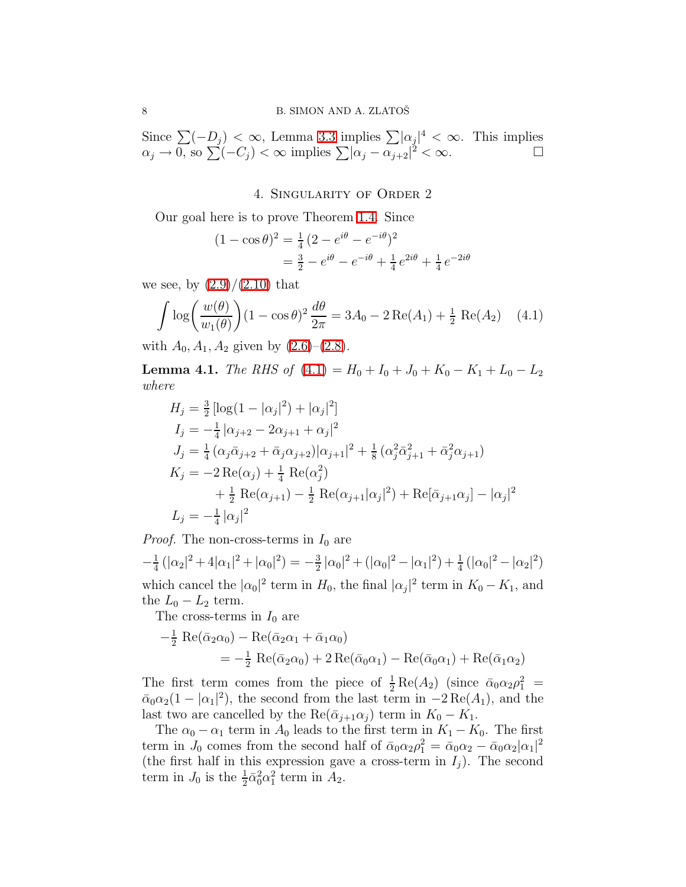<span id="page-7-0"></span>Since  $\sum (-D_j) < \infty$ , Lemma [3.3](#page-6-1) implies  $\sum |\alpha_j|^4 < \infty$ . This implies  $\alpha_j \to 0$ , so  $\sum (-C_j) < \infty$  implies  $\sum |\alpha_j - \alpha_{j+2}|^2 < \infty$ .

4. Singularity of Order 2

Our goal here is to prove Theorem [1.4.](#page-2-2) Since

<span id="page-7-1"></span>
$$
(1 - \cos \theta)^2 = \frac{1}{4} (2 - e^{i\theta} - e^{-i\theta})^2
$$
  
=  $\frac{3}{2} - e^{i\theta} - e^{-i\theta} + \frac{1}{4} e^{2i\theta} + \frac{1}{4} e^{-2i\theta}$ 

we see, by  $(2.9)/(2.10)$  $(2.9)/(2.10)$  that

$$
\int \log \left( \frac{w(\theta)}{w_1(\theta)} \right) (1 - \cos \theta)^2 \frac{d\theta}{2\pi} = 3A_0 - 2 \operatorname{Re}(A_1) + \frac{1}{2} \operatorname{Re}(A_2) \tag{4.1}
$$

with  $A_0, A_1, A_2$  given by  $(2.6)$ – $(2.8)$ .

**Lemma 4.1.** The RHS of  $(4.1) = H_0 + I_0 + J_0 + K_0 - K_1 + L_0 - L_2$  $(4.1) = H_0 + I_0 + J_0 + K_0 - K_1 + L_0 - L_2$ where

$$
H_j = \frac{3}{2} \left[ \log(1 - |\alpha_j|^2) + |\alpha_j|^2 \right]
$$
  
\n
$$
I_j = -\frac{1}{4} |\alpha_{j+2} - 2\alpha_{j+1} + \alpha_j|^2
$$
  
\n
$$
J_j = \frac{1}{4} (\alpha_j \bar{\alpha}_{j+2} + \bar{\alpha}_j \alpha_{j+2}) |\alpha_{j+1}|^2 + \frac{1}{8} (\alpha_j^2 \bar{\alpha}_{j+1}^2 + \bar{\alpha}_j^2 \alpha_{j+1})
$$
  
\n
$$
K_j = -2 \operatorname{Re}(\alpha_j) + \frac{1}{4} \operatorname{Re}(\alpha_j^2)
$$
  
\n
$$
+ \frac{1}{2} \operatorname{Re}(\alpha_{j+1}) - \frac{1}{2} \operatorname{Re}(\alpha_{j+1}|\alpha_j|^2) + \operatorname{Re}[\bar{\alpha}_{j+1}\alpha_j] - |\alpha_j|^2
$$
  
\n
$$
L_j = -\frac{1}{4} |\alpha_j|^2
$$

*Proof.* The non-cross-terms in  $I_0$  are

 $-\frac{1}{4}$  $\frac{1}{4}(|\alpha_2|^2 + 4|\alpha_1|^2 + |\alpha_0|^2) = -\frac{3}{2}$  $\frac{3}{2}|\alpha_0|^2 + (|\alpha_0|^2 - |\alpha_1|^2) + \frac{1}{4}(|\alpha_0|^2 - |\alpha_2|^2)$ which cancel the  $|\alpha_0|^2$  term in  $H_0$ , the final  $|\alpha_j|^2$  term in  $K_0 - K_1$ , and the  $L_0 - L_2$  term.

The cross-terms in  $I_0$  are

$$
-\frac{1}{2} \operatorname{Re}(\bar{\alpha}_2 \alpha_0) - \operatorname{Re}(\bar{\alpha}_2 \alpha_1 + \bar{\alpha}_1 \alpha_0)
$$
  
=  $-\frac{1}{2} \operatorname{Re}(\bar{\alpha}_2 \alpha_0) + 2 \operatorname{Re}(\bar{\alpha}_0 \alpha_1) - \operatorname{Re}(\bar{\alpha}_0 \alpha_1) + \operatorname{Re}(\bar{\alpha}_1 \alpha_2)$ 

The first term comes from the piece of  $\frac{1}{2} \text{Re}(A_2)$  (since  $\bar{\alpha}_0 \alpha_2 \rho_1^2$  =  $\bar{\alpha}_0 \alpha_2 (1 - |\alpha_1|^2)$ , the second from the last term in  $-2 \text{Re}(A_1)$ , and the last two are cancelled by the Re( $\bar{\alpha}_{j+1}\alpha_j$ ) term in  $K_0 - K_1$ .

The  $\alpha_0 - \alpha_1$  term in  $A_0$  leads to the first term in  $K_1 - K_0$ . The first term in  $J_0$  comes from the second half of  $\bar{\alpha}_0 \alpha_2 \rho_1^2 = \bar{\alpha}_0 \alpha_2 - \bar{\alpha}_0 \alpha_2 |\alpha_1|^2$ (the first half in this expression gave a cross-term in  $I_i$ ). The second term in  $J_0$  is the  $\frac{1}{2}\bar{\alpha}_0^2\alpha_1^2$  term in  $A_2$ .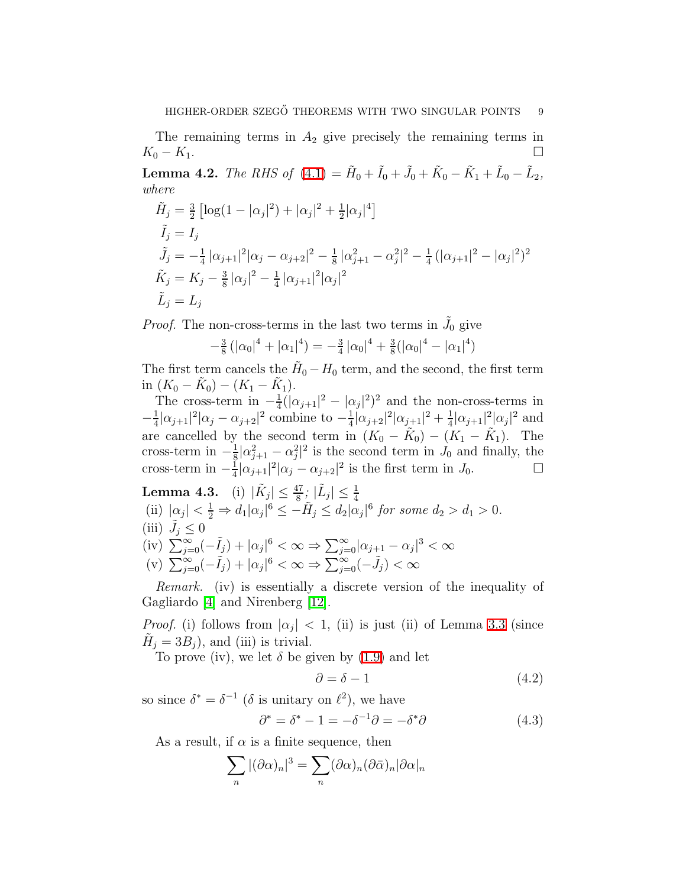The remaining terms in  $A_2$  give precisely the remaining terms in  $K_0 - K_1$ .

<span id="page-8-0"></span>**Lemma 4.2.** The RHS of  $(4.1) = \tilde{H}_0 + \tilde{I}_0 + \tilde{J}_0 + \tilde{K}_0 - \tilde{K}_1 + \tilde{L}_0 - \tilde{L}_2$  $(4.1) = \tilde{H}_0 + \tilde{I}_0 + \tilde{J}_0 + \tilde{K}_0 - \tilde{K}_1 + \tilde{L}_0 - \tilde{L}_2$ , where

$$
\tilde{H}_j = \frac{3}{2} \left[ \log(1 - |\alpha_j|^2) + |\alpha_j|^2 + \frac{1}{2} |\alpha_j|^4 \right]
$$
\n
$$
\tilde{I}_j = I_j
$$
\n
$$
\tilde{J}_j = -\frac{1}{4} |\alpha_{j+1}|^2 |\alpha_j - \alpha_{j+2}|^2 - \frac{1}{8} |\alpha_{j+1}^2 - \alpha_j^2|^2 - \frac{1}{4} (|\alpha_{j+1}|^2 - |\alpha_j|^2)^2
$$
\n
$$
\tilde{K}_j = K_j - \frac{3}{8} |\alpha_j|^2 - \frac{1}{4} |\alpha_{j+1}|^2 |\alpha_j|^2
$$
\n
$$
\tilde{L}_j = L_j
$$

*Proof.* The non-cross-terms in the last two terms in  $\tilde{J}_0$  give

$$
-\frac{3}{8}(|\alpha_0|^4 + |\alpha_1|^4) = -\frac{3}{4}|\alpha_0|^4 + \frac{3}{8}(|\alpha_0|^4 - |\alpha_1|^4)
$$

The first term cancels the  $H_0 - H_0$  term, and the second, the first term in  $(K_0 - \tilde{K}_0) - (K_1 - \tilde{K}_1).$ 

The cross-term in  $-\frac{1}{4}$  $\frac{1}{4}(|\alpha_{j+1}|^2 - |\alpha_j|^2)^2$  and the non-cross-terms in  $-\frac{1}{4}$  $\frac{1}{4}|\alpha_{j+1}|^2|\alpha_j-\alpha_{j+2}|^2$  combine to  $-\frac{1}{4}$  $\frac{1}{4}|\alpha_{j+2}|^2|\alpha_{j+1}|^2+\frac{1}{4}$  $\frac{1}{4}|\alpha_{j+1}|^2 |\alpha_j|^2$  and are cancelled by the second term in  $(K_0 - \tilde{K}_0) - (K_1 - \tilde{K}_1)$ . The cross-term in  $-\frac{1}{8}$  $\frac{1}{8}|\alpha_{j+1}^2-\alpha_j^2|^2$  is the second term in  $J_0$  and finally, the cross-term in  $-\frac{1}{4}$  $\frac{1}{4}|\alpha_{j+1}|^2|\alpha_j-\alpha_{j+2}|^2$  is the first term in  $J_0$ .

<span id="page-8-1"></span>**Lemma 4.3.** (i) 
$$
|\tilde{K}_j| \leq \frac{47}{8}
$$
;  $|\tilde{L}_j| \leq \frac{1}{4}$   
\n(ii)  $|\alpha_j| < \frac{1}{2} \Rightarrow d_1 |\alpha_j|^6 \leq -\tilde{H}_j \leq d_2 |\alpha_j|^6$  for some  $d_2 > d_1 > 0$ .  
\n(iii)  $\tilde{J}_j \leq 0$   
\n(iv)  $\sum_{j=0}^{\infty} (-\tilde{I}_j) + |\alpha_j|^6 < \infty \Rightarrow \sum_{j=0}^{\infty} |\alpha_{j+1} - \alpha_j|^3 < \infty$   
\n(v)  $\sum_{j=0}^{\infty} (-\tilde{I}_j) + |\alpha_j|^6 < \infty \Rightarrow \sum_{j=0}^{\infty} (-\tilde{J}_j) < \infty$ 

Remark. (iv) is essentially a discrete version of the inequality of Gagliardo [\[4\]](#page-14-11) and Nirenberg [\[12\]](#page-14-12).

*Proof.* (i) follows from  $|\alpha_j| < 1$ , (ii) is just (ii) of Lemma [3.3](#page-6-1) (since  $\tilde{H}_j = 3B_j$ , and (iii) is trivial.

To prove (iv), we let  $\delta$  be given by [\(1.9\)](#page-2-4) and let

$$
\partial = \delta - 1 \tag{4.2}
$$

so since  $\delta^* = \delta^{-1}$  ( $\delta$  is unitary on  $\ell^2$ ), we have

$$
\partial^* = \delta^* - 1 = -\delta^{-1}\partial = -\delta^*\partial \tag{4.3}
$$

As a result, if  $\alpha$  is a finite sequence, then

$$
\sum_{n} |(\partial \alpha)_n|^3 = \sum_{n} (\partial \alpha)_n (\partial \bar{\alpha})_n |\partial \alpha|_n
$$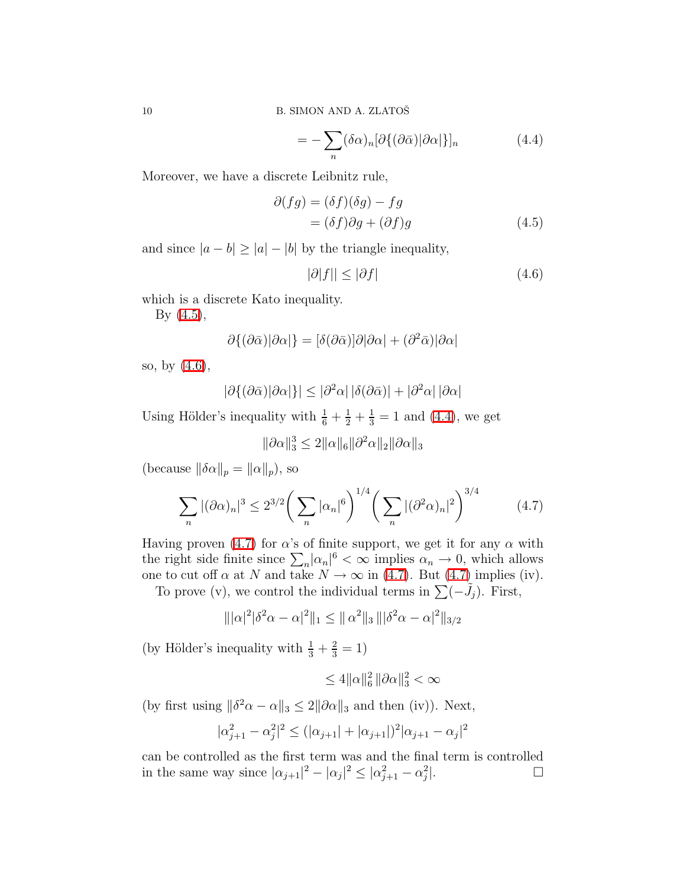<span id="page-9-2"></span>
$$
= -\sum_{n} (\delta \alpha)_{n} [\partial \{ (\partial \bar{\alpha}) | \partial \alpha] \}]_{n} \tag{4.4}
$$

Moreover, we have a discrete Leibnitz rule,

$$
\partial(fg) = (\delta f)(\delta g) - fg
$$
  
= (\delta f)\partial g + (\partial f)g (4.5)

and since  $|a - b| \ge |a| - |b|$  by the triangle inequality,

<span id="page-9-1"></span><span id="page-9-0"></span>
$$
|\partial|f|| \le |\partial f| \tag{4.6}
$$

which is a discrete Kato inequality.

By [\(4.5\)](#page-9-0),

$$
\partial \{(\partial \bar{\alpha})|\partial \alpha|\} = [\delta(\partial \bar{\alpha})]\partial |\partial \alpha| + (\partial^2 \bar{\alpha})|\partial \alpha|
$$

so, by [\(4.6\)](#page-9-1),

$$
|\partial \{(\partial \bar{\alpha})|\partial \alpha|\}| \leq |\partial^2 \alpha| \, |\delta(\partial \bar{\alpha})| + |\partial^2 \alpha| \, |\partial \alpha|
$$

Using Hölder's inequality with  $\frac{1}{6} + \frac{1}{2} + \frac{1}{3} = 1$  and [\(4.4\)](#page-9-2), we get

<span id="page-9-3"></span>
$$
\|\partial\alpha\|_3^3 \le 2\|\alpha\|_6 \|\partial^2\alpha\|_2 \|\partial\alpha\|_3
$$

(because  $\|\delta \alpha\|_p = \|\alpha\|_p$ ), so

$$
\sum_{n} |(\partial \alpha)_n|^3 \le 2^{3/2} \bigg( \sum_{n} |\alpha_n|^6 \bigg)^{1/4} \bigg( \sum_{n} |(\partial^2 \alpha)_n|^2 \bigg)^{3/4} \tag{4.7}
$$

Having proven [\(4.7\)](#page-9-3) for  $\alpha$ 's of finite support, we get it for any  $\alpha$  with the right side finite since  $\sum_{n} |\alpha_n|^6 < \infty$  implies  $\alpha_n \to 0$ , which allows one to cut off  $\alpha$  at N and take  $N \to \infty$  in [\(4.7\)](#page-9-3). But (4.7) implies (iv).

To prove (v), we control the individual terms in  $\sum (-\tilde{J}_j)$ . First,

$$
\| |\alpha|^2 |\delta^2 \alpha - \alpha|^2 \|_1 \leq \| \alpha^2 \|_3 \| |\delta^2 \alpha - \alpha|^2 \|_{3/2}
$$

(by Hölder's inequality with  $\frac{1}{3} + \frac{2}{3} = 1$ )

$$
\leq 4||\alpha||_6^2||\partial\alpha||_3^2 < \infty
$$

(by first using  $\|\delta^2 \alpha - \alpha\|_3 \leq 2\|\partial \alpha\|_3$  and then (iv)). Next,

$$
|\alpha_{j+1}^2 - \alpha_j^2|^2 \le (|\alpha_{j+1}| + |\alpha_{j+1}|)^2 |\alpha_{j+1} - \alpha_j|^2
$$

can be controlled as the first term was and the final term is controlled in the same way since  $|\alpha_{j+1}|^2 - |\alpha_j|^2 \leq |\alpha_{j+1}^2 - \alpha_j^2$  $\Box$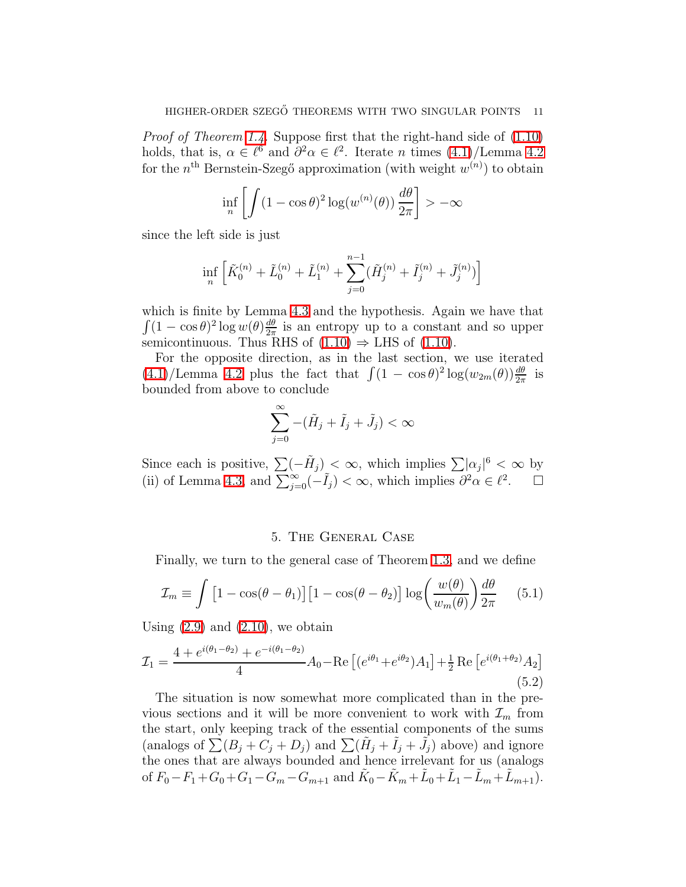Proof of Theorem [1.4.](#page-2-2) Suppose first that the right-hand side of [\(1.10\)](#page-2-5) holds, that is,  $\alpha \in \ell^6$  and  $\partial^2 \alpha \in \ell^2$ . Iterate *n* times  $(4.1)/$ Lemma [4.2](#page-8-0) for the  $n^{\text{th}}$  Bernstein-Szegő approximation (with weight  $w^{(n)}$ ) to obtain

$$
\inf_{n} \left[ \int (1 - \cos \theta)^2 \log(w^{(n)}(\theta)) \, \frac{d\theta}{2\pi} \right] > -\infty
$$

since the left side is just

$$
\inf_n \Big[\tilde K_0^{(n)}+\tilde L_0^{(n)}+\tilde L_1^{(n)}+\sum_{j=0}^{n-1}(\tilde H^{(n)}_j+\tilde I_j^{(n)}+\tilde J_j^{(n)})\Big]
$$

which is finite by Lemma [4.3](#page-8-1) and the hypothesis. Again we have that  $\int (1 - \cos \theta)^2 \log w(\theta) \frac{d\theta}{2\pi}$  $\frac{d\theta}{2\pi}$  is an entropy up to a constant and so upper semicontinuous. Thus RHS of  $(1.10) \Rightarrow$  LHS of  $(1.10)$ .

For the opposite direction, as in the last section, we use iterated  $(4.1)/$  $(4.1)/$ Lemma [4.2](#page-8-0) plus the fact that  $\int (1 - \cos \theta)^2 \log(w_{2m}(\theta)) \frac{d\theta}{2\pi}$  is bounded from above to conclude

$$
\sum_{j=0}^{\infty} -(\tilde{H}_j + \tilde{I}_j + \tilde{J}_j) < \infty
$$

Since each is positive,  $\sum (-\tilde{H}_j) < \infty$ , which implies  $\sum |\alpha_j|^6 < \infty$  by (ii) of Lemma [4.3,](#page-8-1) and  $\sum_{j=0}^{\infty}(-\tilde{I}_j) < \infty$ , which implies  $\partial^2 \alpha \in \ell^2$ .  $\Box$ 

### <span id="page-10-1"></span>5. The General Case

<span id="page-10-0"></span>Finally, we turn to the general case of Theorem [1.3,](#page-2-1) and we define

$$
\mathcal{I}_m \equiv \int \left[1 - \cos(\theta - \theta_1)\right] \left[1 - \cos(\theta - \theta_2)\right] \log\left(\frac{w(\theta)}{w_m(\theta)}\right) \frac{d\theta}{2\pi} \tag{5.1}
$$

Using  $(2.9)$  and  $(2.10)$ , we obtain

$$
\mathcal{I}_1 = \frac{4 + e^{i(\theta_1 - \theta_2)} + e^{-i(\theta_1 - \theta_2)}}{4} A_0 - \text{Re}\left[ (e^{i\theta_1} + e^{i\theta_2}) A_1 \right] + \frac{1}{2} \text{Re}\left[ e^{i(\theta_1 + \theta_2)} A_2 \right]
$$
(5.2)

The situation is now somewhat more complicated than in the previous sections and it will be more convenient to work with  $\mathcal{I}_m$  from the start, only keeping track of the essential components of the sums (analogs of  $\sum (B_j + C_j + D_j)$  and  $\sum (\tilde{H}_j + \tilde{I}_j + \tilde{J}_j)$  above) and ignore the ones that are always bounded and hence irrelevant for us (analogs of  $F_0 - F_1 + G_0 + G_1 - G_m - G_{m+1}$  and  $\tilde{K}_0 - \tilde{K}_m + \tilde{L}_0 + \tilde{L}_1 - \tilde{L}_m + \tilde{L}_{m+1}$ .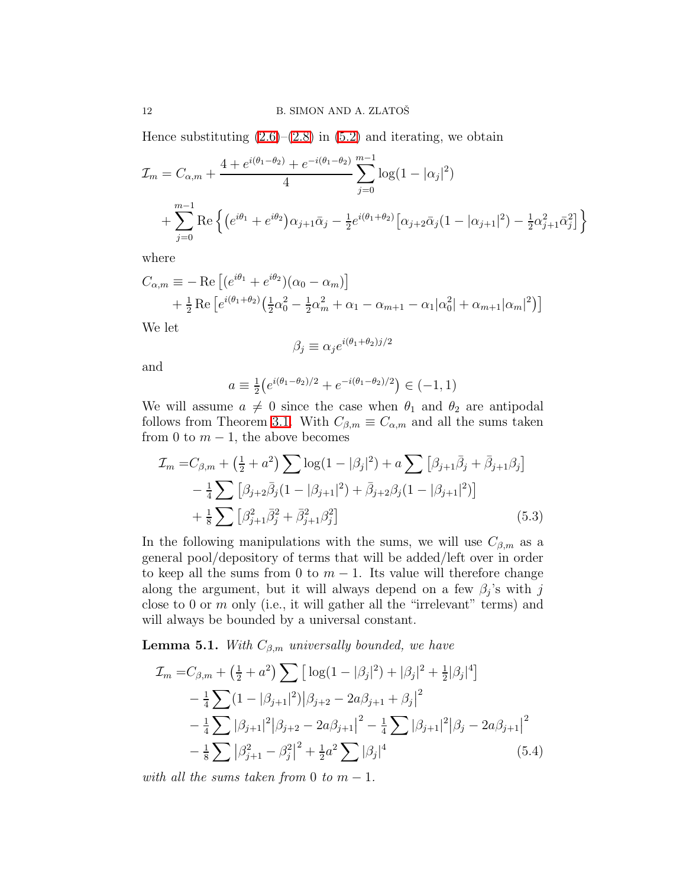Hence substituting  $(2.6)$ – $(2.8)$  in  $(5.2)$  and iterating, we obtain

$$
\mathcal{I}_m = C_{\alpha,m} + \frac{4 + e^{i(\theta_1 - \theta_2)} + e^{-i(\theta_1 - \theta_2)}}{4} \sum_{j=0}^{m-1} \log(1 - |\alpha_j|^2)
$$

$$
+ \sum_{j=0}^{m-1} \text{Re}\left\{ \left( e^{i\theta_1} + e^{i\theta_2} \right) \alpha_{j+1} \bar{\alpha}_j - \frac{1}{2} e^{i(\theta_1 + \theta_2)} \left[ \alpha_{j+2} \bar{\alpha}_j (1 - |\alpha_{j+1}|^2) - \frac{1}{2} \alpha_{j+1}^2 \bar{\alpha}_j^2 \right] \right\}
$$

where

$$
C_{\alpha,m} \equiv -\operatorname{Re}\left[ (e^{i\theta_1} + e^{i\theta_2})(\alpha_0 - \alpha_m) \right] + \frac{1}{2}\operatorname{Re}\left[ e^{i(\theta_1 + \theta_2)} \left( \frac{1}{2}\alpha_0^2 - \frac{1}{2}\alpha_m^2 + \alpha_1 - \alpha_{m+1} - \alpha_1|\alpha_0^2 + \alpha_{m+1}|\alpha_m|^2 \right) \right]
$$

We let

<span id="page-11-1"></span>
$$
\beta_j \equiv \alpha_j e^{i(\theta_1 + \theta_2)j/2}
$$

and

$$
a \equiv \frac{1}{2} \left( e^{i(\theta_1 - \theta_2)/2} + e^{-i(\theta_1 - \theta_2)/2} \right) \in (-1, 1)
$$

We will assume  $a \neq 0$  since the case when  $\theta_1$  and  $\theta_2$  are antipodal follows from Theorem [3.1.](#page-4-6) With  $C_{\beta,m} \equiv C_{\alpha,m}$  and all the sums taken from 0 to  $m-1$ , the above becomes

$$
\mathcal{I}_m = C_{\beta,m} + \left(\frac{1}{2} + a^2\right) \sum \log(1 - |\beta_j|^2) + a \sum \left[\beta_{j+1}\bar{\beta}_j + \bar{\beta}_{j+1}\beta_j\right] \n- \frac{1}{4} \sum \left[\beta_{j+2}\bar{\beta}_j(1 - |\beta_{j+1}|^2) + \bar{\beta}_{j+2}\beta_j(1 - |\beta_{j+1}|^2)\right] \n+ \frac{1}{8} \sum \left[\beta_{j+1}^2 \bar{\beta}_j^2 + \bar{\beta}_{j+1}^2 \beta_j^2\right]
$$
\n(5.3)

In the following manipulations with the sums, we will use  $C_{\beta,m}$  as a general pool/depository of terms that will be added/left over in order to keep all the sums from 0 to  $m-1$ . Its value will therefore change along the argument, but it will always depend on a few  $\beta_j$ 's with j close to 0 or  $m$  only (i.e., it will gather all the "irrelevant" terms) and will always be bounded by a universal constant.

**Lemma 5.1.** With  $C_{\beta,m}$  universally bounded, we have

<span id="page-11-0"></span>
$$
\mathcal{I}_m = C_{\beta,m} + \left(\frac{1}{2} + a^2\right) \sum \left[ \log(1 - |\beta_j|^2) + |\beta_j|^2 + \frac{1}{2} |\beta_j|^4 \right] \n- \frac{1}{4} \sum (1 - |\beta_{j+1}|^2) |\beta_{j+2} - 2a\beta_{j+1} + \beta_j|^2 \n- \frac{1}{4} \sum |\beta_{j+1}|^2 |\beta_{j+2} - 2a\beta_{j+1}|^2 - \frac{1}{4} \sum |\beta_{j+1}|^2 |\beta_j - 2a\beta_{j+1}|^2 \n- \frac{1}{8} \sum |\beta_{j+1}^2 - \beta_j^2|^2 + \frac{1}{2}a^2 \sum |\beta_j|^4
$$
\n(5.4)

with all the sums taken from 0 to  $m-1$ .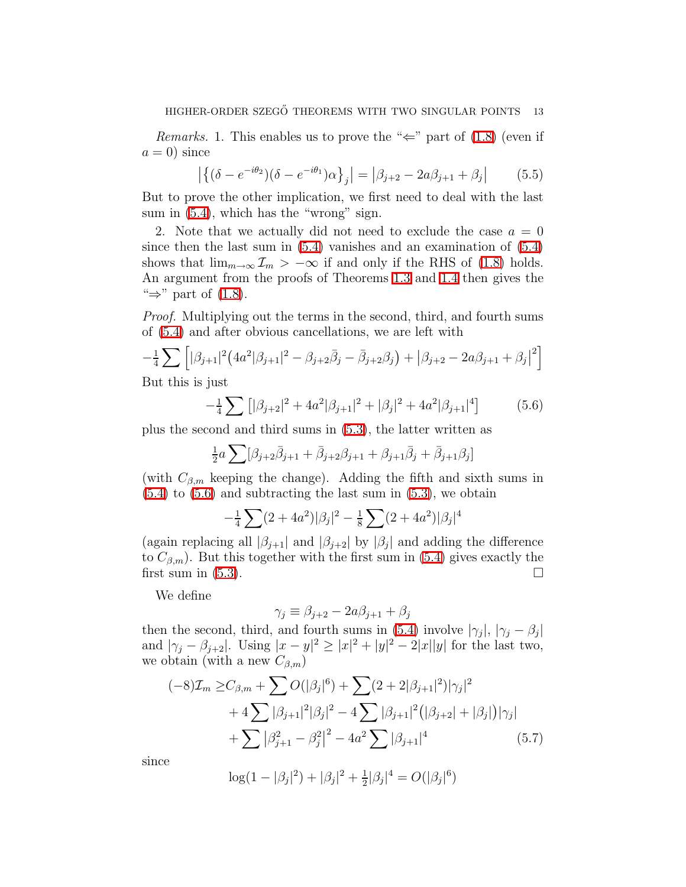<span id="page-12-2"></span>*Remarks.* 1. This enables us to prove the " $\Leftarrow$ " part of [\(1.8\)](#page-2-6) (even if  $a = 0$ ) since

$$
\left| \left\{ (\delta - e^{-i\theta_2}) (\delta - e^{-i\theta_1}) \alpha \right\}_j \right| = \left| \beta_{j+2} - 2a \beta_{j+1} + \beta_j \right| \tag{5.5}
$$

But to prove the other implication, we first need to deal with the last sum in  $(5.4)$ , which has the "wrong" sign.

2. Note that we actually did not need to exclude the case  $a = 0$ since then the last sum in  $(5.4)$  vanishes and an examination of  $(5.4)$ shows that  $\lim_{m\to\infty} \mathcal{I}_m > -\infty$  if and only if the RHS of [\(1.8\)](#page-2-6) holds. An argument from the proofs of Theorems [1.3](#page-2-1) and [1.4](#page-2-2) then gives the " $\Rightarrow$ " part of [\(1.8\)](#page-2-6).

Proof. Multiplying out the terms in the second, third, and fourth sums of [\(5.4\)](#page-11-0) and after obvious cancellations, we are left with

<span id="page-12-0"></span>
$$
-\frac{1}{4}\sum_{j=1}^{\infty} \left[ |\beta_{j+1}|^2 \left( 4a^2|\beta_{j+1}|^2 - \beta_{j+2}\bar{\beta}_j - \bar{\beta}_{j+2}\beta_j \right) + |\beta_{j+2} - 2a\beta_{j+1} + \beta_j|^2 \right]
$$
  
But this is just

But this is just

$$
-\frac{1}{4}\sum [\beta_{j+2}|^2 + 4a^2|\beta_{j+1}|^2 + |\beta_j|^2 + 4a^2|\beta_{j+1}|^4]
$$
(5.6)

plus the second and third sums in [\(5.3\)](#page-11-1), the latter written as

$$
\frac{1}{2}a\sum [\beta_{j+2}\bar{\beta}_{j+1} + \bar{\beta}_{j+2}\beta_{j+1} + \beta_{j+1}\bar{\beta}_j + \bar{\beta}_{j+1}\beta_j]
$$

(with  $C_{\beta,m}$  keeping the change). Adding the fifth and sixth sums in  $(5.4)$  to  $(5.6)$  and subtracting the last sum in  $(5.3)$ , we obtain

$$
-\frac{1}{4}\sum_{i}(2+4a^{2})|\beta_{j}|^{2} - \frac{1}{8}\sum_{i}(2+4a^{2})|\beta_{j}|^{4}
$$

(again replacing all  $|\beta_{j+1}|$  and  $|\beta_{j+2}|$  by  $|\beta_j|$  and adding the difference to  $C_{\beta,m}$ ). But this together with the first sum in [\(5.4\)](#page-11-0) gives exactly the first sum in  $(5.3)$ .

We define

<span id="page-12-1"></span>
$$
\gamma_j \equiv \beta_{j+2} - 2a\beta_{j+1} + \beta_j
$$

then the second, third, and fourth sums in [\(5.4\)](#page-11-0) involve  $|\gamma_j|, |\gamma_j - \beta_j|$ and  $|\gamma_j - \beta_{j+2}|$ . Using  $|x - y|^2 \ge |x|^2 + |y|^2 - 2|x||y|$  for the last two, we obtain (with a new  $C_{\beta,m}$ )

$$
(-8)\mathcal{I}_m \ge C_{\beta,m} + \sum O(|\beta_j|^6) + \sum (2+2|\beta_{j+1}|^2)|\gamma_j|^2
$$
  
+4 $\sum |\beta_{j+1}|^2|\beta_j|^2 - 4\sum |\beta_{j+1}|^2(|\beta_{j+2}| + |\beta_j|)|\gamma_j|$   
+ $\sum |\beta_{j+1}^2 - \beta_j^2|^2 - 4a^2\sum |\beta_{j+1}|^4$  (5.7)

since

$$
\log(1 - |\beta_j|^2) + |\beta_j|^2 + \frac{1}{2}|\beta_j|^4 = O(|\beta_j|^6)
$$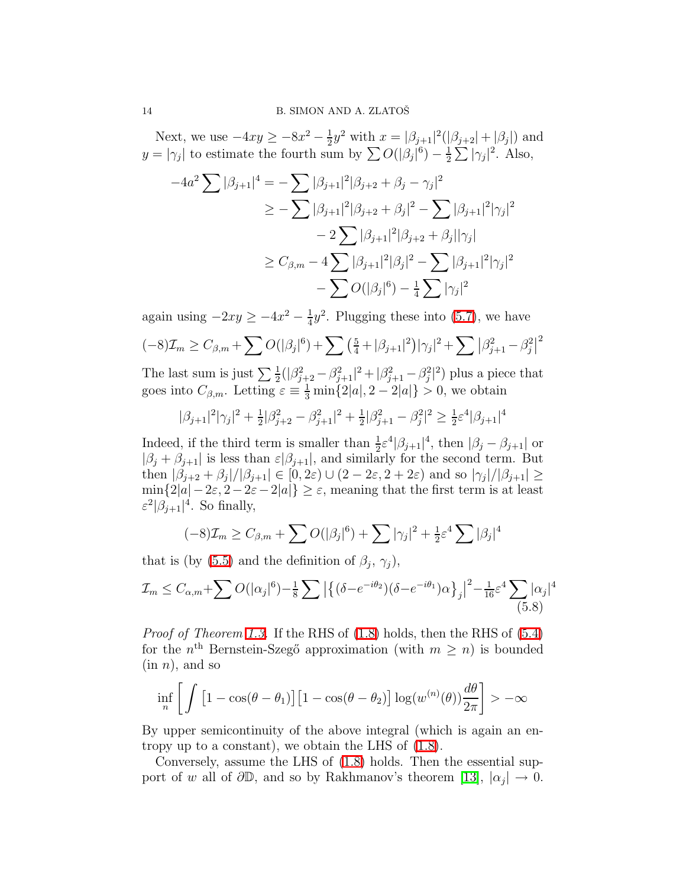Next, we use  $-4xy \ge -8x^2 - \frac{1}{2}$  $\frac{1}{2}y^2$  with  $x = |\beta_{j+1}|^2(|\beta_{j+2}| + |\beta_j|)$  and  $y = |\gamma_j|$  to estimate the fourth sum by  $\sum O(|\beta_j|^6) - \frac{1}{2}$  $\frac{1}{2}\sum |\gamma_j|^2$ . Also,

$$
-4a^{2} \sum |\beta_{j+1}|^{4} = -\sum |\beta_{j+1}|^{2} |\beta_{j+2} + \beta_{j} - \gamma_{j}|^{2}
$$
  
\n
$$
\geq -\sum |\beta_{j+1}|^{2} |\beta_{j+2} + \beta_{j}|^{2} - \sum |\beta_{j+1}|^{2} |\gamma_{j}|^{2}
$$
  
\n
$$
-2 \sum |\beta_{j+1}|^{2} |\beta_{j+2} + \beta_{j}| |\gamma_{j}|
$$
  
\n
$$
\geq C_{\beta,m} - 4 \sum |\beta_{j+1}|^{2} |\beta_{j}|^{2} - \sum |\beta_{j+1}|^{2} |\gamma_{j}|^{2}
$$
  
\n
$$
- \sum O(|\beta_{j}|^{6}) - \frac{1}{4} \sum |\gamma_{j}|^{2}
$$

again using  $-2xy \ge -4x^2 - \frac{1}{4}$  $\frac{1}{4}y^2$ . Plugging these into [\(5.7\)](#page-12-1), we have

$$
(-8)\mathcal{I}_m \geq C_{\beta,m} + \sum O(|\beta_j|^6) + \sum \left(\frac{5}{4} + |\beta_{j+1}|^2\right) |\gamma_j|^2 + \sum |\beta_{j+1}^2 - \beta_j^2|^2
$$

The last sum is just  $\sum_{i=1}^{\infty}(|\beta_{j+2}^2-\beta_{j+1}^2|^2+|\beta_{j+1}^2-\beta_{j}^2|^2)$  plus a piece that goes into  $C_{\beta,m}$ . Letting  $\varepsilon \equiv \frac{1}{3} \min\{2|a|, 2-2|a|\} > 0$ , we obtain

$$
|\beta_{j+1}|^2 |\gamma_j|^2 + \frac{1}{2} |\beta_{j+2}^2 - \beta_{j+1}^2|^2 + \frac{1}{2} |\beta_{j+1}^2 - \beta_j^2|^2 \ge \frac{1}{2} \varepsilon^4 |\beta_{j+1}|^4
$$

Indeed, if the third term is smaller than  $\frac{1}{2} \varepsilon^4 |\beta_{j+1}|^4$ , then  $|\beta_j - \beta_{j+1}|$  or  $|\beta_j + \beta_{j+1}|$  is less than  $\varepsilon |\beta_{j+1}|$ , and similarly for the second term. But then  $|\beta_{j+2} + \beta_j|/|\beta_{j+1}| \in [0, 2\varepsilon) \cup (2 - 2\varepsilon, 2 + 2\varepsilon)$  and so  $|\gamma_j|/|\beta_{j+1}| \ge$  $\min\{2|a|-2\varepsilon, 2-2\varepsilon-2|a|\}\geq\varepsilon$ , meaning that the first term is at least  $\varepsilon^2 |\beta_{j+1}|^4$ . So finally,

$$
(-8)\mathcal{I}_m \geq C_{\beta,m} + \sum O(|\beta_j|^6) + \sum |\gamma_j|^2 + \frac{1}{2}\varepsilon^4 \sum |\beta_j|^4
$$

that is (by [\(5.5\)](#page-12-2) and the definition of  $\beta_j$ ,  $\gamma_j$ ),

$$
\mathcal{I}_m \le C_{\alpha,m} + \sum O(|\alpha_j|^6) - \frac{1}{8} \sum \left| \left\{ (\delta - e^{-i\theta_2}) (\delta - e^{-i\theta_1}) \alpha \right\}_j \right|^2 - \frac{1}{16} \varepsilon^4 \sum_{(5.8)} |\alpha_j|^4
$$
\n
$$
(5.8)
$$

Proof of Theorem [1.3.](#page-2-1) If the RHS of [\(1.8\)](#page-2-6) holds, then the RHS of [\(5.4\)](#page-11-0) for the  $n<sup>th</sup>$  Bernstein-Szegő approximation (with  $m \geq n$ ) is bounded  $(in n)$ , and so

$$
\inf_{n} \left[ \int \left[ 1 - \cos(\theta - \theta_1) \right] \left[ 1 - \cos(\theta - \theta_2) \right] \log(w^{(n)}(\theta)) \frac{d\theta}{2\pi} \right] > -\infty
$$

By upper semicontinuity of the above integral (which is again an entropy up to a constant), we obtain the LHS of [\(1.8\)](#page-2-6).

Conversely, assume the LHS of [\(1.8\)](#page-2-6) holds. Then the essential support of w all of  $\partial \mathbb{D}$ , and so by Rakhmanov's theorem [\[13\]](#page-14-13),  $|\alpha_j| \to 0$ .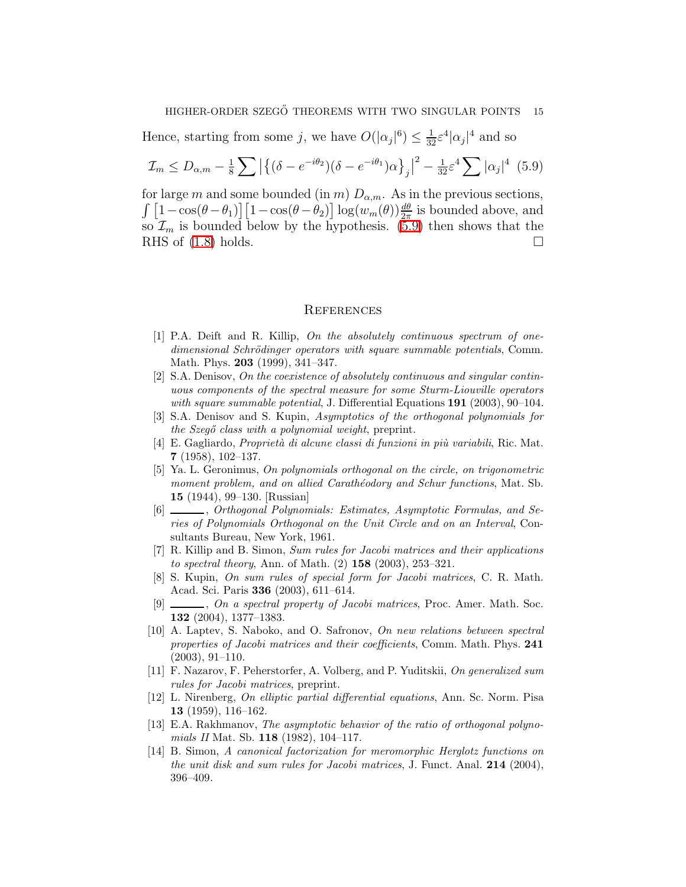#### HIGHER-ORDER SZEGŐ THEOREMS WITH TWO SINGULAR POINTS 15

Hence, starting from some j, we have  $O(|\alpha_j|^6) \leq \frac{1}{32} \varepsilon^4 |\alpha_j|^4$  and so

$$
\mathcal{I}_m \le D_{\alpha,m} - \frac{1}{8} \sum \left| \left\{ (\delta - e^{-i\theta_2}) (\delta - e^{-i\theta_1}) \alpha \right\}_j \right|^2 - \frac{1}{32} \varepsilon^4 \sum |\alpha_j|^4 \tag{5.9}
$$

for large m and some bounded (in m)  $D_{\alpha,m}$ . As in the previous sections,  $\int [1-\cos(\theta-\theta_1)] [1-\cos(\theta-\theta_2)] \log(w_m(\theta)) \frac{d\theta}{2\pi}$  is bounded above, and so  $\mathcal{I}_m$  is bounded below by the hypothesis. [\(5.9\)](#page-14-14) then shows that the RHS of  $(1.8)$  holds.

#### <span id="page-14-14"></span>**REFERENCES**

- <span id="page-14-2"></span>[1] P.A. Deift and R. Killip, On the absolutely continuous spectrum of onedimensional Schrödinger operators with square summable potentials, Comm. Math. Phys. 203 (1999), 341–347.
- <span id="page-14-4"></span>[2] S.A. Denisov, On the coexistence of absolutely continuous and singular continuous components of the spectral measure for some Sturm-Liouville operators with square summable potential, J. Differential Equations  $191$  (2003), 90-104.
- <span id="page-14-11"></span><span id="page-14-10"></span>[3] S.A. Denisov and S. Kupin, Asymptotics of the orthogonal polynomials for the Szegő class with a polynomial weight, preprint.
- $[4]$  E. Gagliardo, *Proprietà di alcune classi di funzioni in più variabili*, Ric. Mat. 7 (1958), 102–137.
- <span id="page-14-1"></span>[5] Ya. L. Geronimus, On polynomials orthogonal on the circle, on trigonometric moment problem, and on allied Carathéodory and Schur functions, Mat. Sb. 15 (1944), 99–130. [Russian]
- <span id="page-14-0"></span>[6]  $\_\_\_\_\_$ , Orthogonal Polynomials: Estimates, Asymptotic Formulas, and Series of Polynomials Orthogonal on the Unit Circle and on an Interval, Consultants Bureau, New York, 1961.
- <span id="page-14-3"></span>[7] R. Killip and B. Simon, Sum rules for Jacobi matrices and their applications to spectral theory, Ann. of Math.  $(2)$  158  $(2003)$ , 253-321.
- <span id="page-14-5"></span>[8] S. Kupin, On sum rules of special form for Jacobi matrices, C. R. Math. Acad. Sci. Paris 336 (2003), 611–614.
- <span id="page-14-6"></span>[9]  $\ldots$ , On a spectral property of Jacobi matrices, Proc. Amer. Math. Soc. 132 (2004), 1377–1383.
- <span id="page-14-7"></span>[10] A. Laptev, S. Naboko, and O. Safronov, On new relations between spectral properties of Jacobi matrices and their coefficients, Comm. Math. Phys. 241 (2003), 91–110.
- <span id="page-14-8"></span>[11] F. Nazarov, F. Peherstorfer, A. Volberg, and P. Yuditskii, On generalized sum rules for Jacobi matrices, preprint.
- <span id="page-14-12"></span>[12] L. Nirenberg, On elliptic partial differential equations, Ann. Sc. Norm. Pisa 13 (1959), 116–162.
- <span id="page-14-13"></span>[13] E.A. Rakhmanov, The asymptotic behavior of the ratio of orthogonal polynomials II Mat. Sb. **118** (1982), 104-117.
- <span id="page-14-9"></span>[14] B. Simon, A canonical factorization for meromorphic Herglotz functions on the unit disk and sum rules for Jacobi matrices, J. Funct. Anal.  $214$  (2004), 396–409.